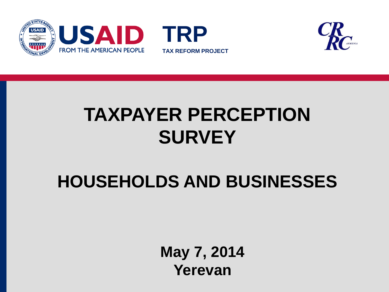



# **TAXPAYER PERCEPTION SURVEY**

### **HOUSEHOLDS AND BUSINESSES**

**May 7, 2014 Yerevan**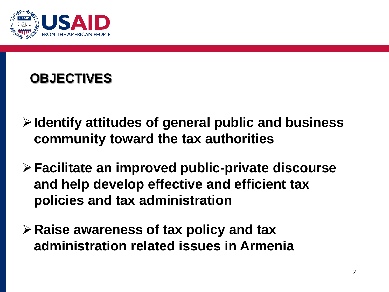

### **OBJECTIVES**

- **Identify attitudes of general public and business community toward the tax authorities**
- **Facilitate an improved public-private discourse and help develop effective and efficient tax policies and tax administration**
- **Raise awareness of tax policy and tax administration related issues in Armenia**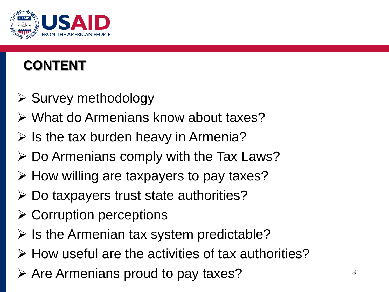

### **CONTENT**

- $\triangleright$  Survey methodology
- What do Armenians know about taxes?
- $\triangleright$  Is the tax burden heavy in Armenia?
- $\triangleright$  Do Armenians comply with the Tax Laws?
- $\triangleright$  How willing are taxpayers to pay taxes?
- Do taxpayers trust state authorities?
- $\triangleright$  Corruption perceptions
- $\triangleright$  Is the Armenian tax system predictable?
- $\triangleright$  How useful are the activities of tax authorities?
- $\triangleright$  Are Armenians proud to pay taxes?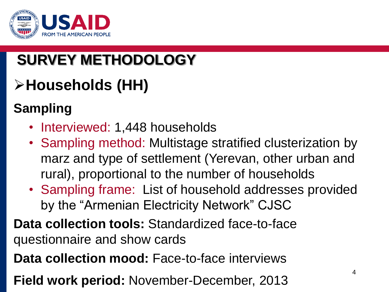

### **SURVEY METHODOLOGY**

### **Households (HH)**

### **Sampling**

- Interviewed: 1,448 households
- Sampling method: Multistage stratified clusterization by marz and type of settlement (Yerevan, other urban and rural), proportional to the number of households
- Sampling frame: List of household addresses provided by the "Armenian Electricity Network" CJSC
- **Data collection tools:** Standardized face-to-face questionnaire and show cards
- **Data collection mood:** Face-to-face interviews
- **Field work period:** November-December, 2013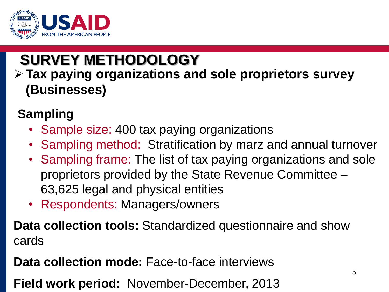

### **SURVEY METHODOLOGY**

### **Tax paying organizations and sole proprietors survey (Businesses)**

### **Sampling**

- Sample size: 400 tax paying organizations
- Sampling method: Stratification by marz and annual turnover
- Sampling frame: The list of tax paying organizations and sole proprietors provided by the State Revenue Committee – 63,625 legal and physical entities
- Respondents: Managers/owners

**Data collection tools:** Standardized questionnaire and show cards

**Data collection mode:** Face-to-face interviews

**Field work period:** November-December, 2013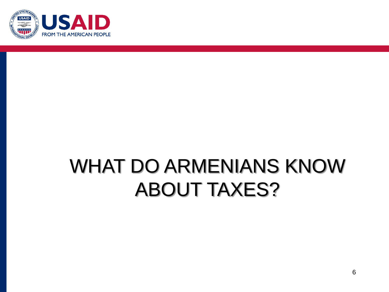

### WHAT DO ARMENIANS KNOW ABOUT TAXES?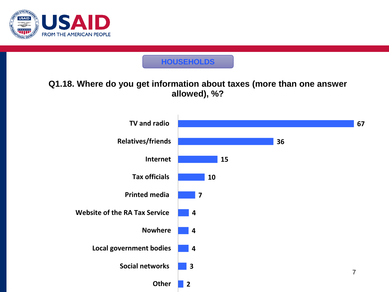

#### **HOUSEHOLDS**

#### **Q1.18. Where do you get information about taxes (more than one answer allowed), %?**

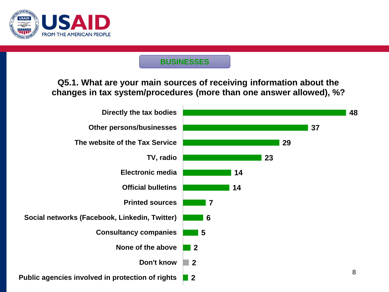

**Q5.1. What are your main sources of receiving information about the changes in tax system/procedures (more than one answer allowed), %?**

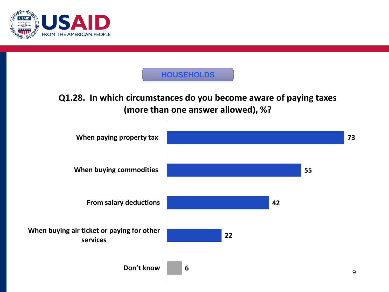

#### **HOUSEHOLDS**

#### **Q1.28. In which circumstances do you become aware of paying taxes (more than one answer allowed), %?**

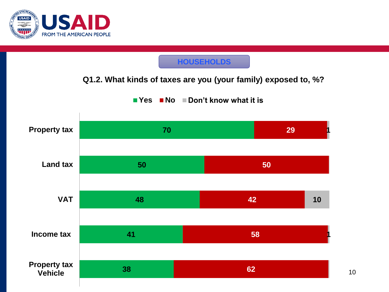

#### **HOUSEHOLDS**

#### **Q1.2. What kinds of taxes are you (your family) exposed to, %?**

■ Yes ■ No ■ Don't know what it is

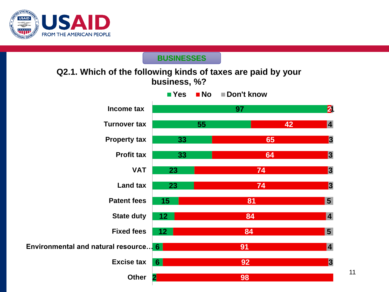

#### **Q2.1. Which of the following kinds of taxes are paid by your business, %?**

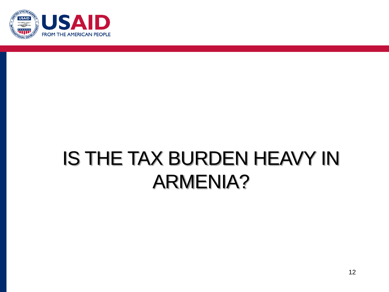

# IS THE TAX BURDEN HEAVY IN ARMENIA?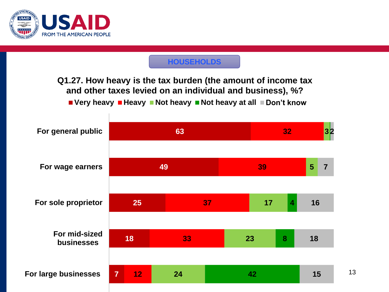

#### **HOUSEHOLDS**

**Q1.27. How heavy is the tax burden (the amount of income tax and other taxes levied on an individual and business), %?**

**Very heavy Heavy Not heavy Not heavy at all Don't know**

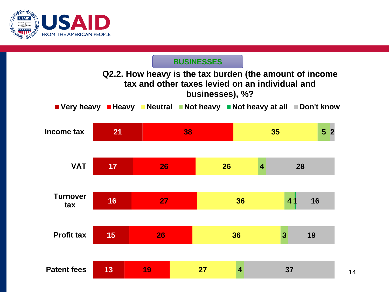

#### **Q2.2. How heavy is the tax burden (the amount of income tax and other taxes levied on an individual and businesses), %?**

**Very heavy Heavy Neutral Not heavy Not heavy at all Don't know**

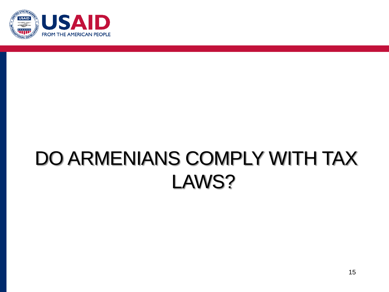

# DO ARMENIANS COMPLY WITH TAX LAWS?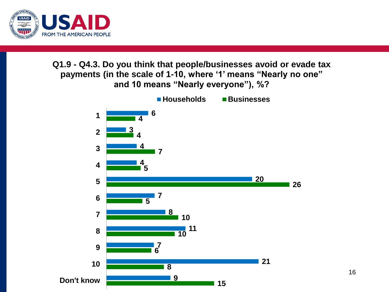

#### **Q1.9 - Q4.3. Do you think that people/businesses avoid or evade tax payments (in the scale of 1-10, where '1' means "Nearly no one" and 10 means "Nearly everyone"), %?**

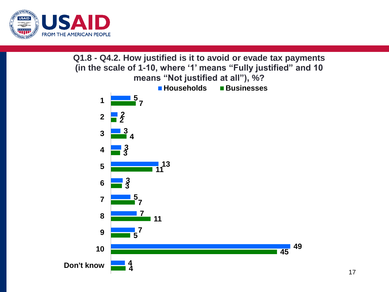

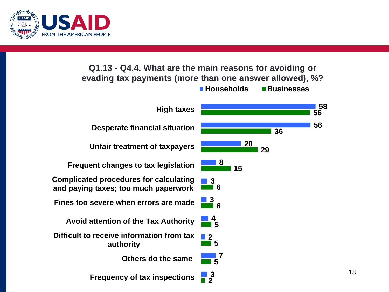

#### **Q1.13 - Q4.4. What are the main reasons for avoiding or evading tax payments (more than one answer allowed), %?**

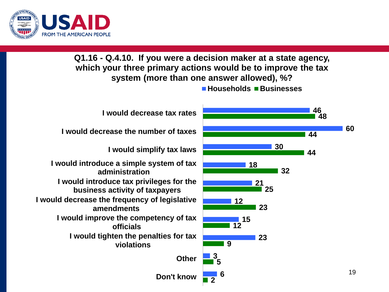

**Q1.16 - Q.4.10. If you were a decision maker at a state agency, which your three primary actions would be to improve the tax system (more than one answer allowed), %?**

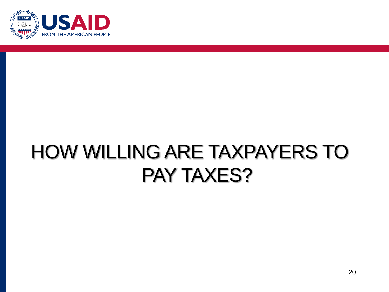

# HOW WILLING ARE TAXPAYERS TO PAY TAXES?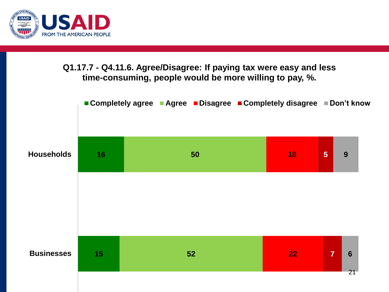

#### **Q1.17.7 - Q4.11.6. Agree/Disagree: If paying tax were easy and less time-consuming, people would be more willing to pay, %.**

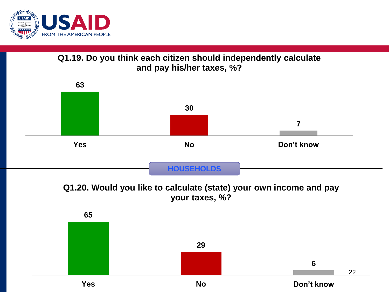

**Q1.19. Do you think each citizen should independently calculate and pay his/her taxes, %?**



**Q1.20. Would you like to calculate (state) your own income and pay your taxes, %?**

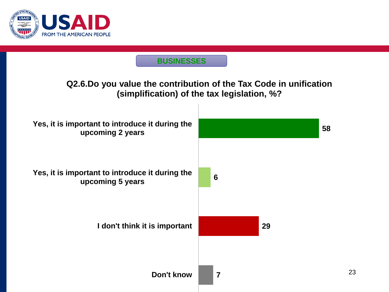

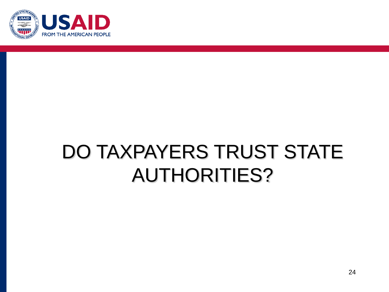

# DO TAXPAYERS TRUST STATE AUTHORITIES?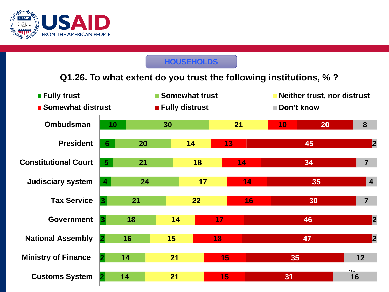

#### **HOUSEHOLDS**

#### **Q1.26. To what extent do you trust the following institutions, % ?**

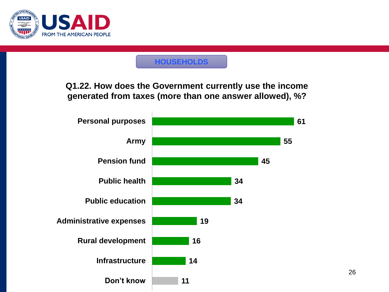

#### **HOUSEHOLDS**

**Q1.22. How does the Government currently use the income generated from taxes (more than one answer allowed), %?**

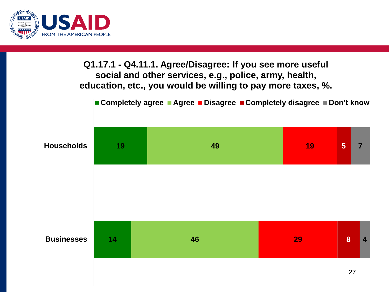

#### **Q1.17.1 - Q4.11.1. Agree/Disagree: If you see more useful social and other services, e.g., police, army, health, education, etc., you would be willing to pay more taxes, %.**

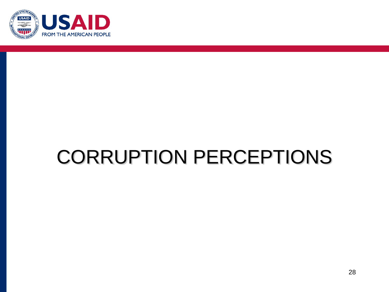

# CORRUPTION PERCEPTIONS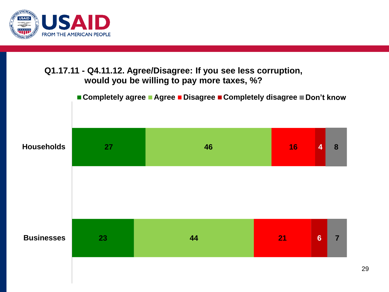

#### **Q1.17.11 - Q4.11.12. Agree/Disagree: If you see less corruption, would you be willing to pay more taxes, %?**

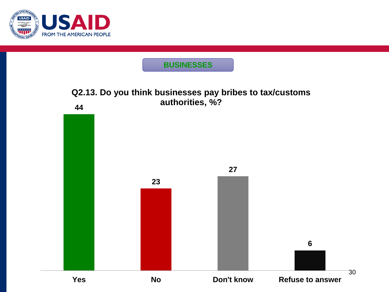

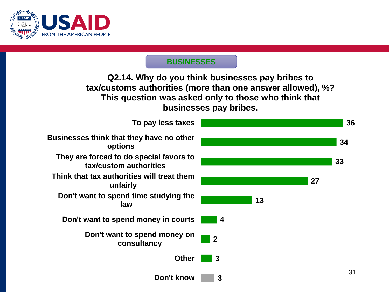

**Q2.14. Why do you think businesses pay bribes to tax/customs authorities (more than one answer allowed), %? This question was asked only to those who think that businesses pay bribes.**



31

**33**

**34**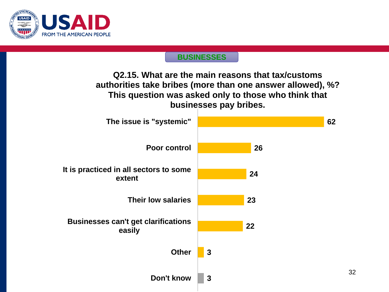

**Q2.15. What are the main reasons that tax/customs authorities take bribes (more than one answer allowed), %? This question was asked only to those who think that businesses pay bribes.**

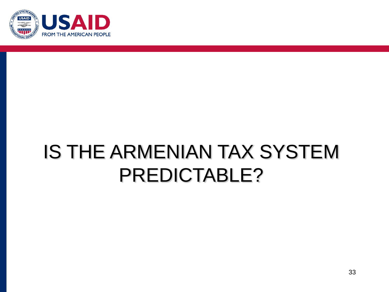

# IS THE ARMENIAN TAX SYSTEM PREDICTABLE?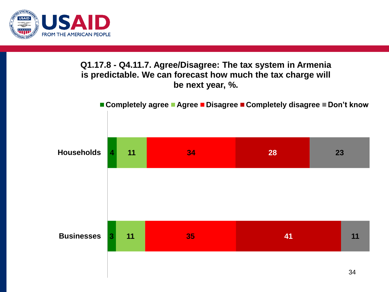

#### **Q1.17.8 - Q4.11.7. Agree/Disagree: The tax system in Armenia is predictable. We can forecast how much the tax charge will be next year, %.**

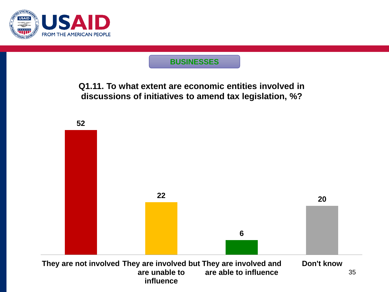

**Q1.11. To what extent are economic entities involved in discussions of initiatives to amend tax legislation, %?**

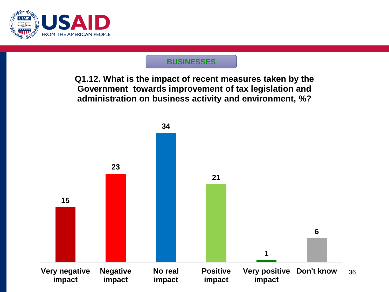

**Q1.12. What is the impact of recent measures taken by the Government towards improvement of tax legislation and administration on business activity and environment, %?**

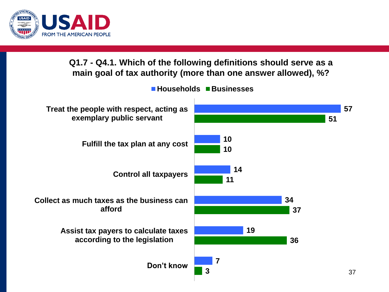

**Q1.7 - Q4.1. Which of the following definitions should serve as a main goal of tax authority (more than one answer allowed), %?** 

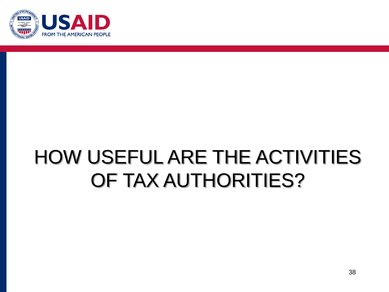

# HOW USEFUL ARE THE ACTIVITIES OF TAX AUTHORITIES?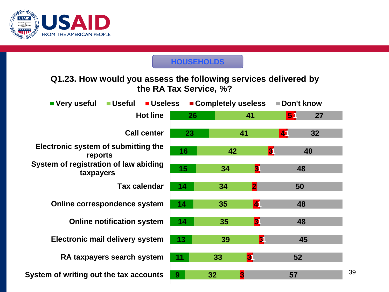

#### **HOUSEHOLDS**

 **1 1 1 1 1 1 1 1 System of writing out the tax accounts RA taxpayers search system Electronic mail delivery system Online notification system Online correspondence system Tax calendar System of registration of law abiding taxpayers Electronic system of submitting the reports Call center Hot line Q1.23. How would you assess the following services delivered by the RA Tax Service, %? Very useful Useful Useless Completely useless Don't know**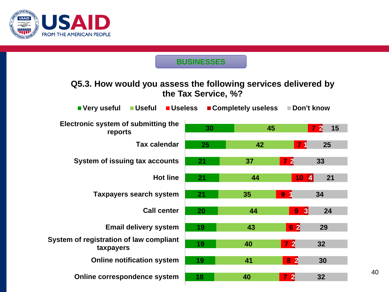

#### **Q5.3. How would you assess the following services delivered by the Tax Service, %?**

| ■Useful<br><b>Useless</b><br>■ Very useful           |    | ■ Completely useless | Don't know                       |                                      |
|------------------------------------------------------|----|----------------------|----------------------------------|--------------------------------------|
| Electronic system of submitting the<br>reports       | 30 | 45                   |                                  | 15<br>$\overline{7}$<br>$\mathbf{2}$ |
| <b>Tax calendar</b>                                  | 25 | 42                   | $\overline{7}$                   | 25                                   |
| System of issuing tax accounts                       | 21 | 37                   | $\begin{array}{c} 7 \end{array}$ | 33                                   |
| <b>Hot line</b>                                      | 21 | 44                   | 10<br> 4                         | 21                                   |
| <b>Taxpayers search system</b>                       | 21 | 35                   | 9 <sub>1</sub>                   | 34                                   |
| <b>Call center</b>                                   | 20 | 44                   | 3 <br>9 <sub>1</sub>             | 24                                   |
| <b>Email delivery system</b>                         | 19 | 43                   | 6 2                              | 29                                   |
| System of registration of law compliant<br>taxpayers | 19 | 40                   | 72                               | 32                                   |
| <b>Online notification system</b>                    | 19 | 41                   | 8 <sup>2</sup>                   | 30                                   |
| Online correspondence system                         | 18 | 40                   | $7\,$ 2                          | 32                                   |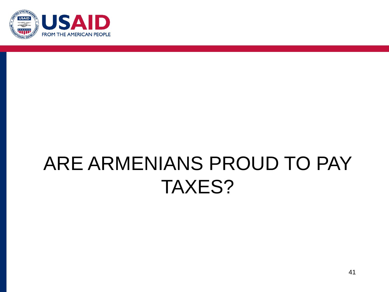

# ARE ARMENIANS PROUD TO PAY TAXES?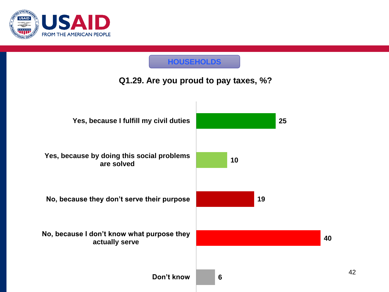

#### **HOUSEHOLDS**

#### **Q1.29. Are you proud to pay taxes, %?**